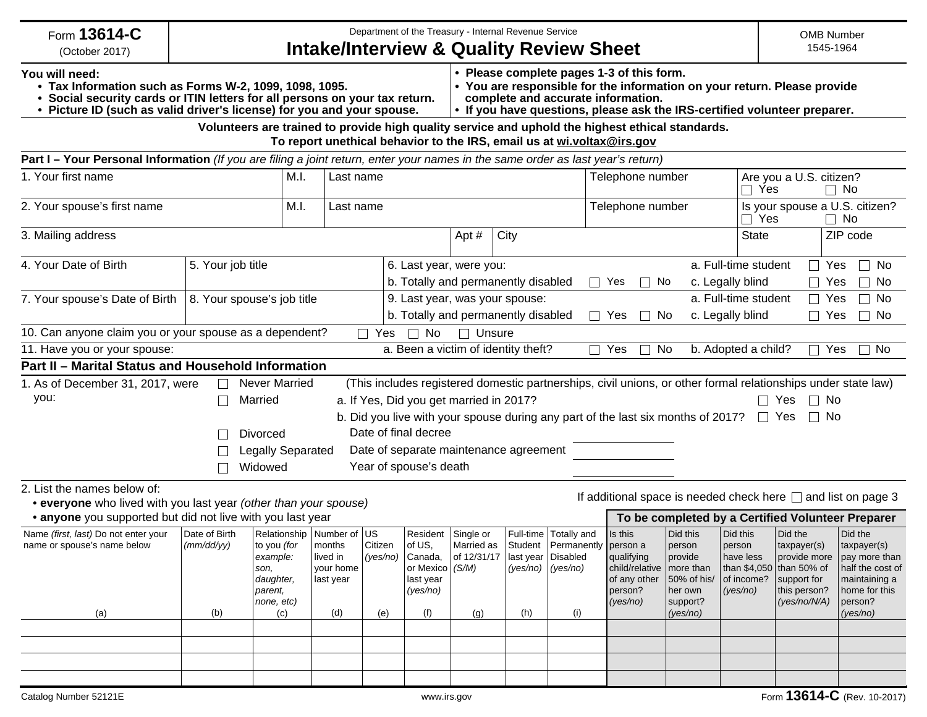| Form 13614-C<br>(October 2017)                                                                                                  | Department of the Treasury - Internal Revenue Service<br><b>Intake/Interview &amp; Quality Review Sheet</b> |                                                                                                                                                     |                                                                                              |                                                                      |                                                                                    |                                                                                                                                                                                                                                          |                             |                                                                        |                                                                                             | <b>OMB Number</b><br>1545-1964                                                                                |                                                           |                                                                                                                   |                                                                                                                      |
|---------------------------------------------------------------------------------------------------------------------------------|-------------------------------------------------------------------------------------------------------------|-----------------------------------------------------------------------------------------------------------------------------------------------------|----------------------------------------------------------------------------------------------|----------------------------------------------------------------------|------------------------------------------------------------------------------------|------------------------------------------------------------------------------------------------------------------------------------------------------------------------------------------------------------------------------------------|-----------------------------|------------------------------------------------------------------------|---------------------------------------------------------------------------------------------|---------------------------------------------------------------------------------------------------------------|-----------------------------------------------------------|-------------------------------------------------------------------------------------------------------------------|----------------------------------------------------------------------------------------------------------------------|
| You will need:<br>• Tax Information such as Forms W-2, 1099, 1098, 1095.                                                        |                                                                                                             | Social security cards or ITIN letters for all persons on your tax return.<br>• Picture ID (such as valid driver's license) for you and your spouse. |                                                                                              |                                                                      |                                                                                    | • Please complete pages 1-3 of this form.<br>• You are responsible for the information on your return. Please provide<br>complete and accurate information.<br>. If you have questions, please ask the IRS-certified volunteer preparer. |                             |                                                                        |                                                                                             |                                                                                                               |                                                           |                                                                                                                   |                                                                                                                      |
|                                                                                                                                 |                                                                                                             | Volunteers are trained to provide high quality service and uphold the highest ethical standards.                                                    |                                                                                              |                                                                      |                                                                                    |                                                                                                                                                                                                                                          |                             | To report unethical behavior to the IRS, email us at wi.voltax@irs.gov |                                                                                             |                                                                                                               |                                                           |                                                                                                                   |                                                                                                                      |
| Part I - Your Personal Information (If you are filing a joint return, enter your names in the same order as last year's return) |                                                                                                             |                                                                                                                                                     |                                                                                              |                                                                      |                                                                                    |                                                                                                                                                                                                                                          |                             |                                                                        |                                                                                             |                                                                                                               |                                                           |                                                                                                                   |                                                                                                                      |
| 1. Your first name                                                                                                              |                                                                                                             | M.I.                                                                                                                                                | Last name                                                                                    |                                                                      |                                                                                    |                                                                                                                                                                                                                                          | Telephone number            |                                                                        |                                                                                             |                                                                                                               | Are you a U.S. citizen?<br>Yes<br>$\Box$<br>$\Box$ No     |                                                                                                                   |                                                                                                                      |
| 2. Your spouse's first name                                                                                                     |                                                                                                             | M.I.                                                                                                                                                |                                                                                              | Telephone number<br>Last name                                        |                                                                                    |                                                                                                                                                                                                                                          |                             |                                                                        |                                                                                             | Is your spouse a U.S. citizen?<br>Yes<br>$\Box$ No                                                            |                                                           |                                                                                                                   |                                                                                                                      |
| 3. Mailing address                                                                                                              |                                                                                                             |                                                                                                                                                     |                                                                                              |                                                                      |                                                                                    | Apt#                                                                                                                                                                                                                                     | City                        |                                                                        |                                                                                             |                                                                                                               | <b>State</b>                                              |                                                                                                                   | ZIP code                                                                                                             |
| 4. Your Date of Birth                                                                                                           | 5. Your job title                                                                                           |                                                                                                                                                     |                                                                                              |                                                                      |                                                                                    | 6. Last year, were you:                                                                                                                                                                                                                  |                             |                                                                        |                                                                                             |                                                                                                               | a. Full-time student                                      | $\Box$ Yes                                                                                                        | $\Box$<br>No                                                                                                         |
|                                                                                                                                 |                                                                                                             |                                                                                                                                                     |                                                                                              | c. Legally blind<br>b. Totally and permanently disabled<br>Yes<br>No |                                                                                    |                                                                                                                                                                                                                                          |                             |                                                                        |                                                                                             |                                                                                                               | $\Box$ Yes                                                | No                                                                                                                |                                                                                                                      |
| 7. Your spouse's Date of Birth                                                                                                  | 8. Your spouse's job title                                                                                  |                                                                                                                                                     |                                                                                              |                                                                      |                                                                                    | 9. Last year, was your spouse:                                                                                                                                                                                                           |                             |                                                                        |                                                                                             |                                                                                                               | a. Full-time student                                      | $\Box$ Yes                                                                                                        | $\Box$ No                                                                                                            |
|                                                                                                                                 |                                                                                                             |                                                                                                                                                     |                                                                                              |                                                                      |                                                                                    | b. Totally and permanently disabled                                                                                                                                                                                                      |                             | $\Box$                                                                 | Yes<br>No<br>$\perp$                                                                        |                                                                                                               | c. Legally blind                                          | $\Box$ Yes                                                                                                        | $\Box$ No                                                                                                            |
| 10. Can anyone claim you or your spouse as a dependent?                                                                         |                                                                                                             |                                                                                                                                                     |                                                                                              | $\Box$ Yes                                                           | $\Box$ No                                                                          | $\Box$ Unsure                                                                                                                                                                                                                            |                             |                                                                        |                                                                                             |                                                                                                               |                                                           |                                                                                                                   |                                                                                                                      |
| 11. Have you or your spouse:                                                                                                    |                                                                                                             |                                                                                                                                                     |                                                                                              |                                                                      |                                                                                    | a. Been a victim of identity theft?                                                                                                                                                                                                      |                             | П                                                                      | Yes                                                                                         | No                                                                                                            | b. Adopted a child?                                       | П                                                                                                                 | Yes<br>$\Box$ No                                                                                                     |
| Part II - Marital Status and Household Information                                                                              |                                                                                                             |                                                                                                                                                     |                                                                                              |                                                                      |                                                                                    |                                                                                                                                                                                                                                          |                             |                                                                        |                                                                                             |                                                                                                               |                                                           |                                                                                                                   |                                                                                                                      |
| 1. As of December 31, 2017, were                                                                                                |                                                                                                             | <b>Never Married</b>                                                                                                                                |                                                                                              |                                                                      |                                                                                    |                                                                                                                                                                                                                                          |                             |                                                                        |                                                                                             | (This includes registered domestic partnerships, civil unions, or other formal relationships under state law) |                                                           |                                                                                                                   |                                                                                                                      |
| you:                                                                                                                            | Married                                                                                                     | $\Box$ No<br>a. If Yes, Did you get married in 2017?<br>l I Yes<br>b. Did you live with your spouse during any part of the last six months of 2017? |                                                                                              |                                                                      |                                                                                    |                                                                                                                                                                                                                                          |                             |                                                                        |                                                                                             |                                                                                                               |                                                           |                                                                                                                   |                                                                                                                      |
|                                                                                                                                 |                                                                                                             | <b>Divorced</b>                                                                                                                                     |                                                                                              |                                                                      |                                                                                    |                                                                                                                                                                                                                                          |                             |                                                                        |                                                                                             |                                                                                                               |                                                           | $\Box$ No<br>$\Box$ Yes                                                                                           |                                                                                                                      |
|                                                                                                                                 |                                                                                                             | Date of final decree                                                                                                                                |                                                                                              |                                                                      |                                                                                    |                                                                                                                                                                                                                                          |                             |                                                                        |                                                                                             |                                                                                                               |                                                           |                                                                                                                   |                                                                                                                      |
|                                                                                                                                 |                                                                                                             |                                                                                                                                                     | Date of separate maintenance agreement<br><b>Legally Separated</b><br>Year of spouse's death |                                                                      |                                                                                    |                                                                                                                                                                                                                                          |                             |                                                                        |                                                                                             |                                                                                                               |                                                           |                                                                                                                   |                                                                                                                      |
|                                                                                                                                 |                                                                                                             | Widowed                                                                                                                                             |                                                                                              |                                                                      |                                                                                    |                                                                                                                                                                                                                                          |                             |                                                                        |                                                                                             |                                                                                                               |                                                           |                                                                                                                   |                                                                                                                      |
| 2. List the names below of:<br>• everyone who lived with you last year (other than your spouse)                                 |                                                                                                             |                                                                                                                                                     |                                                                                              |                                                                      |                                                                                    |                                                                                                                                                                                                                                          |                             |                                                                        |                                                                                             |                                                                                                               |                                                           |                                                                                                                   | If additional space is needed check here $\Box$ and list on page 3                                                   |
| • anyone you supported but did not live with you last year                                                                      |                                                                                                             |                                                                                                                                                     |                                                                                              |                                                                      |                                                                                    |                                                                                                                                                                                                                                          |                             |                                                                        |                                                                                             |                                                                                                               |                                                           |                                                                                                                   | To be completed by a Certified Volunteer Preparer                                                                    |
| Name (first, last) Do not enter your<br>name or spouse's name below<br>(a)                                                      | Date of Birth<br>(mm/dd/yy)<br>(b)                                                                          | Relationship   Number of US<br>to you (for<br>example:<br>son,<br>daughter,<br>parent,<br>none, etc)<br>(c)                                         | months<br>lived in<br>vour home<br>last year<br>(d)                                          | Citizen<br>(yes/no)<br>(e)                                           | Resident<br>of US,<br>  Canada,<br>or Mexico (S/M)<br>last year<br>(yes/no)<br>(f) | Single or<br>Married as<br>$ $ of 12/31/17 $ $ last year $ $ Disabled<br>(g)                                                                                                                                                             | Full-time<br>Student<br>(h) | Totally and<br>Permanently person a<br>(yes/no)   (yes/no)<br>(i)      | Is this<br> qualifying<br>child/relative   more than<br>of any other<br>person?<br>(yes/no) | Did this<br>person<br>  provide<br>50% of his/<br>her own<br>support?<br>(yes/no)                             | Did this<br>person<br>have less<br>of income?<br>(yes/no) | Did the<br>taxpayer(s)<br>provide more<br>than \$4,050 than 50% of<br>support for<br>this person?<br>(yes/no/N/A) | Did the<br>taxpayer(s)<br>pay more than<br>half the cost of<br>maintaining a<br>home for this<br>person?<br>(yes/no) |
|                                                                                                                                 |                                                                                                             |                                                                                                                                                     |                                                                                              |                                                                      |                                                                                    |                                                                                                                                                                                                                                          |                             |                                                                        |                                                                                             |                                                                                                               |                                                           |                                                                                                                   |                                                                                                                      |
|                                                                                                                                 |                                                                                                             |                                                                                                                                                     |                                                                                              |                                                                      |                                                                                    |                                                                                                                                                                                                                                          |                             |                                                                        |                                                                                             |                                                                                                               |                                                           |                                                                                                                   |                                                                                                                      |
|                                                                                                                                 |                                                                                                             |                                                                                                                                                     |                                                                                              |                                                                      |                                                                                    |                                                                                                                                                                                                                                          |                             |                                                                        |                                                                                             |                                                                                                               |                                                           |                                                                                                                   |                                                                                                                      |
|                                                                                                                                 |                                                                                                             |                                                                                                                                                     |                                                                                              |                                                                      |                                                                                    |                                                                                                                                                                                                                                          |                             |                                                                        |                                                                                             |                                                                                                               |                                                           |                                                                                                                   |                                                                                                                      |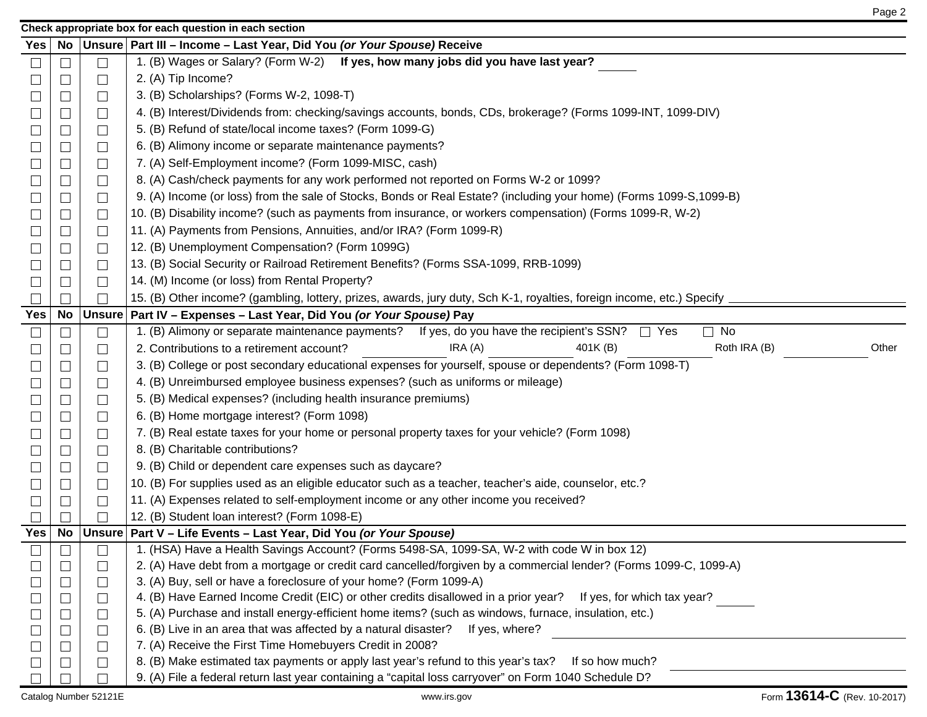|        | Check appropriate box for each question in each section |                             |                                                                                                                        |  |  |  |  |  |  |
|--------|---------------------------------------------------------|-----------------------------|------------------------------------------------------------------------------------------------------------------------|--|--|--|--|--|--|
| Yes    | No                                                      |                             | Unsure   Part III - Income - Last Year, Did You (or Your Spouse) Receive                                               |  |  |  |  |  |  |
| $\Box$ |                                                         | $\Box$                      | 1. (B) Wages or Salary? (Form W-2) If yes, how many jobs did you have last year?                                       |  |  |  |  |  |  |
| $\Box$ |                                                         | $\Box$                      | 2. (A) Tip Income?                                                                                                     |  |  |  |  |  |  |
| $\Box$ |                                                         | $\Box$                      | 3. (B) Scholarships? (Forms W-2, 1098-T)                                                                               |  |  |  |  |  |  |
| ⊔      |                                                         | ⊔                           | 4. (B) Interest/Dividends from: checking/savings accounts, bonds, CDs, brokerage? (Forms 1099-INT, 1099-DIV)           |  |  |  |  |  |  |
| $\Box$ |                                                         | $\Box$                      | 5. (B) Refund of state/local income taxes? (Form 1099-G)                                                               |  |  |  |  |  |  |
| $\Box$ |                                                         | $\Box$                      | 6. (B) Alimony income or separate maintenance payments?                                                                |  |  |  |  |  |  |
| $\Box$ |                                                         | $\Box$                      | 7. (A) Self-Employment income? (Form 1099-MISC, cash)                                                                  |  |  |  |  |  |  |
| $\Box$ |                                                         | $\Box$                      | 8. (A) Cash/check payments for any work performed not reported on Forms W-2 or 1099?                                   |  |  |  |  |  |  |
| $\Box$ |                                                         | ┙                           | 9. (A) Income (or loss) from the sale of Stocks, Bonds or Real Estate? (including your home) (Forms 1099-S, 1099-B)    |  |  |  |  |  |  |
| $\Box$ |                                                         | $\Box$                      | 10. (B) Disability income? (such as payments from insurance, or workers compensation) (Forms 1099-R, W-2)              |  |  |  |  |  |  |
| $\Box$ |                                                         | $\Box$                      | 11. (A) Payments from Pensions, Annuities, and/or IRA? (Form 1099-R)                                                   |  |  |  |  |  |  |
| $\Box$ |                                                         | $\Box$                      | 12. (B) Unemployment Compensation? (Form 1099G)                                                                        |  |  |  |  |  |  |
|        |                                                         | $\Box$                      | 13. (B) Social Security or Railroad Retirement Benefits? (Forms SSA-1099, RRB-1099)                                    |  |  |  |  |  |  |
| $\Box$ |                                                         | $\Box$                      | 14. (M) Income (or loss) from Rental Property?                                                                         |  |  |  |  |  |  |
|        |                                                         |                             | 15. (B) Other income? (gambling, lottery, prizes, awards, jury duty, Sch K-1, royalties, foreign income, etc.) Specify |  |  |  |  |  |  |
| Yes    |                                                         | No   Unsure                 | Part IV - Expenses - Last Year, Did You (or Your Spouse) Pay                                                           |  |  |  |  |  |  |
| $\Box$ |                                                         | $\Box$                      | 1. (B) Alimony or separate maintenance payments? If yes, do you have the recipient's SSN?<br>$\Box$ No<br>$\Box$ Yes   |  |  |  |  |  |  |
|        |                                                         | $\mathbb{Z}$                | IRA(A)<br>401K(B)<br>Roth IRA (B)<br>Other<br>2. Contributions to a retirement account?                                |  |  |  |  |  |  |
| $\Box$ |                                                         | ⊔                           | 3. (B) College or post secondary educational expenses for yourself, spouse or dependents? (Form 1098-T)                |  |  |  |  |  |  |
| ⊔      |                                                         | $\Box$                      | 4. (B) Unreimbursed employee business expenses? (such as uniforms or mileage)                                          |  |  |  |  |  |  |
| $\Box$ |                                                         | $\Box$                      | 5. (B) Medical expenses? (including health insurance premiums)                                                         |  |  |  |  |  |  |
| $\Box$ |                                                         | $\Box$                      | 6. (B) Home mortgage interest? (Form 1098)                                                                             |  |  |  |  |  |  |
|        |                                                         | $\Box$                      | 7. (B) Real estate taxes for your home or personal property taxes for your vehicle? (Form 1098)                        |  |  |  |  |  |  |
| $\Box$ |                                                         | ⊔                           | 8. (B) Charitable contributions?                                                                                       |  |  |  |  |  |  |
|        |                                                         | $\sqcup$                    | 9. (B) Child or dependent care expenses such as daycare?                                                               |  |  |  |  |  |  |
| $\Box$ |                                                         | $\Box$                      | 10. (B) For supplies used as an eligible educator such as a teacher, teacher's aide, counselor, etc.?                  |  |  |  |  |  |  |
| $\Box$ |                                                         | $\Box$                      | 11. (A) Expenses related to self-employment income or any other income you received?                                   |  |  |  |  |  |  |
|        |                                                         |                             | 12. (B) Student loan interest? (Form 1098-E)                                                                           |  |  |  |  |  |  |
| Yes    |                                                         |                             | No   Unsure   Part V – Life Events – Last Year, Did You (or Your Spouse)                                               |  |  |  |  |  |  |
| $\Box$ | $\Box$                                                  | $\Box$                      | 1. (HSA) Have a Health Savings Account? (Forms 5498-SA, 1099-SA, W-2 with code W in box 12)                            |  |  |  |  |  |  |
|        |                                                         | $\mathcal{L}$               | 2. (A) Have debt from a mortgage or credit card cancelled/forgiven by a commercial lender? (Forms 1099-C, 1099-A)      |  |  |  |  |  |  |
|        |                                                         | $\mathcal{L}_{\mathcal{A}}$ | 3. (A) Buy, sell or have a foreclosure of your home? (Form 1099-A)                                                     |  |  |  |  |  |  |
|        |                                                         | ⊔                           | 4. (B) Have Earned Income Credit (EIC) or other credits disallowed in a prior year?<br>If yes, for which tax year?     |  |  |  |  |  |  |
| $\Box$ |                                                         | $\Box$                      | 5. (A) Purchase and install energy-efficient home items? (such as windows, furnace, insulation, etc.)                  |  |  |  |  |  |  |
|        |                                                         | $\Box$                      | 6. (B) Live in an area that was affected by a natural disaster?<br>If yes, where?                                      |  |  |  |  |  |  |
|        |                                                         | $\overline{\phantom{a}}$    | 7. (A) Receive the First Time Homebuyers Credit in 2008?                                                               |  |  |  |  |  |  |
|        |                                                         | $\Box$                      | 8. (B) Make estimated tax payments or apply last year's refund to this year's tax?<br>If so how much?                  |  |  |  |  |  |  |
|        |                                                         |                             | 9. (A) File a federal return last year containing a "capital loss carryover" on Form 1040 Schedule D?                  |  |  |  |  |  |  |

Page 2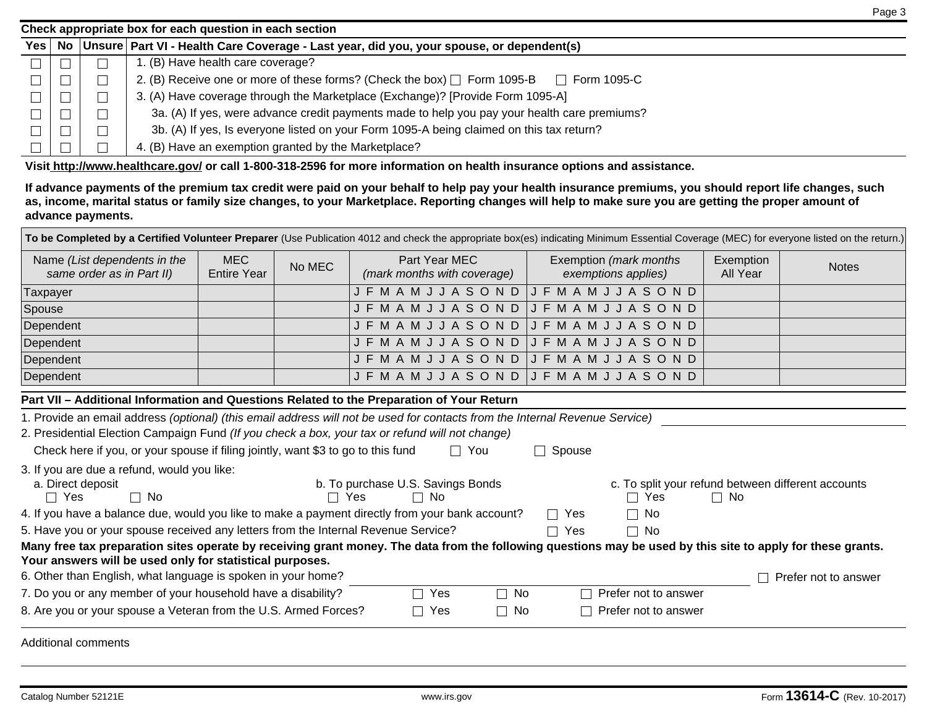| Check appropriate box for each question in each section |  |  |                                                                                                        |  |  |  |  |  |  |
|---------------------------------------------------------|--|--|--------------------------------------------------------------------------------------------------------|--|--|--|--|--|--|
|                                                         |  |  | Yes   No   Unsure   Part VI - Health Care Coverage - Last year, did you, your spouse, or dependent(s)  |  |  |  |  |  |  |
|                                                         |  |  | . (B) Have health care coverage?                                                                       |  |  |  |  |  |  |
|                                                         |  |  | 2. (B) Receive one or more of these forms? (Check the box) $\Box$ Form 1095-B<br>Form 1095-C<br>$\Box$ |  |  |  |  |  |  |
|                                                         |  |  | 3. (A) Have coverage through the Marketplace (Exchange)? [Provide Form 1095-A]                         |  |  |  |  |  |  |
|                                                         |  |  | 3a. (A) If yes, were advance credit payments made to help you pay your health care premiums?           |  |  |  |  |  |  |
|                                                         |  |  | 3b. (A) If yes, Is everyone listed on your Form 1095-A being claimed on this tax return?               |  |  |  |  |  |  |
|                                                         |  |  | 4. (B) Have an exemption granted by the Marketplace?                                                   |  |  |  |  |  |  |

**Visit http://www.healthcare.gov/ or call 1-800-318-2596 for more information on health insurance options and assistance.** 

**If advance payments of the premium tax credit were paid on your behalf to help pay your health insurance premiums, you should report life changes, such as, income, marital status or family size changes, to your Marketplace. Reporting changes will help to make sure you are getting the proper amount of advance payments.**

| Your answers will be used only for statistical purposes.<br>6. Other than English, what language is spoken in your home?<br>7. Do you or any member of your household have a disability?<br>8. Are you or your spouse a Veteran from the U.S. Armed Forces? | 5. Have you or your spouse received any letters from the Internal Revenue Service?<br>Many free tax preparation sites operate by receiving grant money. The data from the following questions may be used by this site to apply for these grants.<br>Yes<br>$\Box$ No<br>П<br>$\Box$ Yes<br>$\Box$ No | $\Box$ Yes<br>Г<br>$\mathbf{L}$ | $\mathbf{L}$<br>No<br>$\Box$<br>Prefer not to answer<br>Prefer not to answer                                                                                                                                 |                                                                                                                                                                                                                                                                                                                                | Prefer not to answer                                                                                                                                                                      |  |  |  |  |
|-------------------------------------------------------------------------------------------------------------------------------------------------------------------------------------------------------------------------------------------------------------|-------------------------------------------------------------------------------------------------------------------------------------------------------------------------------------------------------------------------------------------------------------------------------------------------------|---------------------------------|--------------------------------------------------------------------------------------------------------------------------------------------------------------------------------------------------------------|--------------------------------------------------------------------------------------------------------------------------------------------------------------------------------------------------------------------------------------------------------------------------------------------------------------------------------|-------------------------------------------------------------------------------------------------------------------------------------------------------------------------------------------|--|--|--|--|
|                                                                                                                                                                                                                                                             |                                                                                                                                                                                                                                                                                                       |                                 |                                                                                                                                                                                                              |                                                                                                                                                                                                                                                                                                                                |                                                                                                                                                                                           |  |  |  |  |
|                                                                                                                                                                                                                                                             |                                                                                                                                                                                                                                                                                                       |                                 |                                                                                                                                                                                                              |                                                                                                                                                                                                                                                                                                                                |                                                                                                                                                                                           |  |  |  |  |
|                                                                                                                                                                                                                                                             |                                                                                                                                                                                                                                                                                                       |                                 |                                                                                                                                                                                                              |                                                                                                                                                                                                                                                                                                                                |                                                                                                                                                                                           |  |  |  |  |
|                                                                                                                                                                                                                                                             |                                                                                                                                                                                                                                                                                                       |                                 |                                                                                                                                                                                                              |                                                                                                                                                                                                                                                                                                                                |                                                                                                                                                                                           |  |  |  |  |
|                                                                                                                                                                                                                                                             |                                                                                                                                                                                                                                                                                                       |                                 |                                                                                                                                                                                                              |                                                                                                                                                                                                                                                                                                                                |                                                                                                                                                                                           |  |  |  |  |
|                                                                                                                                                                                                                                                             |                                                                                                                                                                                                                                                                                                       |                                 |                                                                                                                                                                                                              |                                                                                                                                                                                                                                                                                                                                |                                                                                                                                                                                           |  |  |  |  |
| 4. If you have a balance due, would you like to make a payment directly from your bank account?<br>$\Box$ Yes<br>No                                                                                                                                         |                                                                                                                                                                                                                                                                                                       |                                 |                                                                                                                                                                                                              |                                                                                                                                                                                                                                                                                                                                |                                                                                                                                                                                           |  |  |  |  |
| 3. If you are due a refund, would you like:<br>a. Direct deposit<br>b. To purchase U.S. Savings Bonds<br>c. To split your refund between different accounts<br>$\Box$ No<br>$\Box$ Yes<br>$\Box$ No<br>$\Box$ Yes<br>$\Box$ Yes<br>$\Box$ No                |                                                                                                                                                                                                                                                                                                       |                                 |                                                                                                                                                                                                              |                                                                                                                                                                                                                                                                                                                                |                                                                                                                                                                                           |  |  |  |  |
| 2. Presidential Election Campaign Fund (If you check a box, your tax or refund will not change)<br>Check here if you, or your spouse if filing jointly, want \$3 to go to this fund<br>$\Box$ You<br>$\Box$ Spouse                                          |                                                                                                                                                                                                                                                                                                       |                                 |                                                                                                                                                                                                              |                                                                                                                                                                                                                                                                                                                                |                                                                                                                                                                                           |  |  |  |  |
|                                                                                                                                                                                                                                                             |                                                                                                                                                                                                                                                                                                       |                                 |                                                                                                                                                                                                              |                                                                                                                                                                                                                                                                                                                                |                                                                                                                                                                                           |  |  |  |  |
|                                                                                                                                                                                                                                                             |                                                                                                                                                                                                                                                                                                       |                                 |                                                                                                                                                                                                              |                                                                                                                                                                                                                                                                                                                                |                                                                                                                                                                                           |  |  |  |  |
|                                                                                                                                                                                                                                                             |                                                                                                                                                                                                                                                                                                       |                                 |                                                                                                                                                                                                              |                                                                                                                                                                                                                                                                                                                                |                                                                                                                                                                                           |  |  |  |  |
|                                                                                                                                                                                                                                                             |                                                                                                                                                                                                                                                                                                       |                                 |                                                                                                                                                                                                              |                                                                                                                                                                                                                                                                                                                                |                                                                                                                                                                                           |  |  |  |  |
|                                                                                                                                                                                                                                                             |                                                                                                                                                                                                                                                                                                       |                                 |                                                                                                                                                                                                              |                                                                                                                                                                                                                                                                                                                                |                                                                                                                                                                                           |  |  |  |  |
|                                                                                                                                                                                                                                                             |                                                                                                                                                                                                                                                                                                       |                                 |                                                                                                                                                                                                              |                                                                                                                                                                                                                                                                                                                                |                                                                                                                                                                                           |  |  |  |  |
|                                                                                                                                                                                                                                                             |                                                                                                                                                                                                                                                                                                       |                                 |                                                                                                                                                                                                              |                                                                                                                                                                                                                                                                                                                                |                                                                                                                                                                                           |  |  |  |  |
|                                                                                                                                                                                                                                                             |                                                                                                                                                                                                                                                                                                       |                                 |                                                                                                                                                                                                              |                                                                                                                                                                                                                                                                                                                                |                                                                                                                                                                                           |  |  |  |  |
| No MEC<br><b>Entire Year</b>                                                                                                                                                                                                                                | Part Year MEC<br>(mark months with coverage)                                                                                                                                                                                                                                                          |                                 |                                                                                                                                                                                                              | Exemption<br>All Year                                                                                                                                                                                                                                                                                                          | <b>Notes</b>                                                                                                                                                                              |  |  |  |  |
|                                                                                                                                                                                                                                                             |                                                                                                                                                                                                                                                                                                       |                                 | <b>JFMAMJJASOND</b><br><b>JFMAMJJASOND</b><br><b>JFMAMJJASOND</b><br><b>JFMAMJJASOND</b><br><b>JFMAMJJASOND</b><br>Part VII - Additional Information and Questions Related to the Preparation of Your Return | Exemption (mark months<br>exemptions applies)<br>JFMAMJJASOND<br>$J F M A M J J A S O N D$<br>JFMAMJJASOND<br>$J F M A M J J A S O N D$<br>J F M A M J J A S O N D<br>JFMAMJJASOND JFMAMJJASOND<br>1. Provide an email address (optional) (this email address will not be used for contacts from the Internal Revenue Service) | To be Completed by a Certified Volunteer Preparer (Use Publication 4012 and check the appropriate box(es) indicating Minimum Essential Coverage (MEC) for everyone listed on the return.) |  |  |  |  |

Page 3